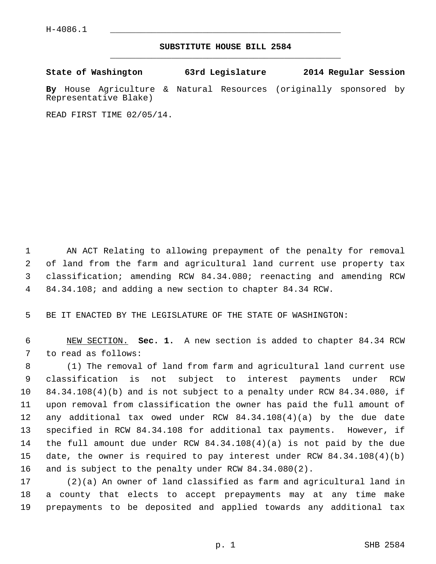## **SUBSTITUTE HOUSE BILL 2584** \_\_\_\_\_\_\_\_\_\_\_\_\_\_\_\_\_\_\_\_\_\_\_\_\_\_\_\_\_\_\_\_\_\_\_\_\_\_\_\_\_\_\_\_\_

|  | State of Washington | 63rd Legislature | 2014 Regular Session |
|--|---------------------|------------------|----------------------|
|--|---------------------|------------------|----------------------|

**By** House Agriculture & Natural Resources (originally sponsored by Representative Blake)

READ FIRST TIME 02/05/14.

 1 AN ACT Relating to allowing prepayment of the penalty for removal 2 of land from the farm and agricultural land current use property tax 3 classification; amending RCW 84.34.080; reenacting and amending RCW 4 84.34.108; and adding a new section to chapter 84.34 RCW.

5 BE IT ENACTED BY THE LEGISLATURE OF THE STATE OF WASHINGTON:

 6 NEW SECTION. **Sec. 1.** A new section is added to chapter 84.34 RCW 7 to read as follows:

 8 (1) The removal of land from farm and agricultural land current use 9 classification is not subject to interest payments under RCW 10 84.34.108(4)(b) and is not subject to a penalty under RCW 84.34.080, if 11 upon removal from classification the owner has paid the full amount of 12 any additional tax owed under RCW 84.34.108(4)(a) by the due date 13 specified in RCW 84.34.108 for additional tax payments. However, if 14 the full amount due under RCW 84.34.108(4)(a) is not paid by the due 15 date, the owner is required to pay interest under RCW 84.34.108(4)(b) 16 and is subject to the penalty under RCW 84.34.080(2).

17 (2)(a) An owner of land classified as farm and agricultural land in 18 a county that elects to accept prepayments may at any time make 19 prepayments to be deposited and applied towards any additional tax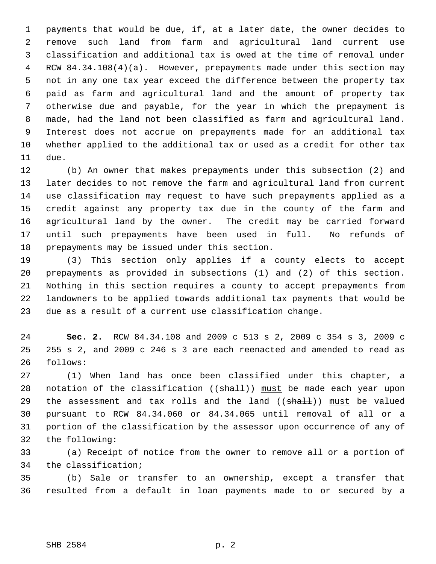1 payments that would be due, if, at a later date, the owner decides to 2 remove such land from farm and agricultural land current use 3 classification and additional tax is owed at the time of removal under 4 RCW 84.34.108(4)(a). However, prepayments made under this section may 5 not in any one tax year exceed the difference between the property tax 6 paid as farm and agricultural land and the amount of property tax 7 otherwise due and payable, for the year in which the prepayment is 8 made, had the land not been classified as farm and agricultural land. 9 Interest does not accrue on prepayments made for an additional tax 10 whether applied to the additional tax or used as a credit for other tax 11 due.

12 (b) An owner that makes prepayments under this subsection (2) and 13 later decides to not remove the farm and agricultural land from current 14 use classification may request to have such prepayments applied as a 15 credit against any property tax due in the county of the farm and 16 agricultural land by the owner. The credit may be carried forward 17 until such prepayments have been used in full. No refunds of 18 prepayments may be issued under this section.

19 (3) This section only applies if a county elects to accept 20 prepayments as provided in subsections (1) and (2) of this section. 21 Nothing in this section requires a county to accept prepayments from 22 landowners to be applied towards additional tax payments that would be 23 due as a result of a current use classification change.

24 **Sec. 2.** RCW 84.34.108 and 2009 c 513 s 2, 2009 c 354 s 3, 2009 c 25 255 s 2, and 2009 c 246 s 3 are each reenacted and amended to read as 26 follows:

27 (1) When land has once been classified under this chapter, a 28 notation of the classification (( $\frac{1}{2}$ ) must be made each year upon 29 the assessment and tax rolls and the land  $((shall))$  must be valued 30 pursuant to RCW 84.34.060 or 84.34.065 until removal of all or a 31 portion of the classification by the assessor upon occurrence of any of 32 the following:

33 (a) Receipt of notice from the owner to remove all or a portion of 34 the classification;

35 (b) Sale or transfer to an ownership, except a transfer that 36 resulted from a default in loan payments made to or secured by a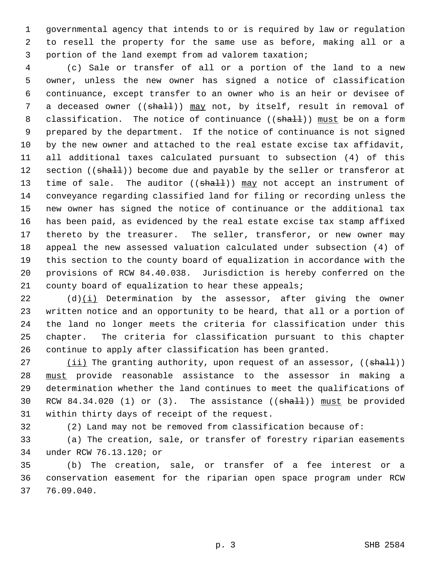1 governmental agency that intends to or is required by law or regulation 2 to resell the property for the same use as before, making all or a 3 portion of the land exempt from ad valorem taxation;

 4 (c) Sale or transfer of all or a portion of the land to a new 5 owner, unless the new owner has signed a notice of classification 6 continuance, except transfer to an owner who is an heir or devisee of 7 a deceased owner ((shall)) may not, by itself, result in removal of 8 classification. The notice of continuance ((shall)) must be on a form 9 prepared by the department. If the notice of continuance is not signed 10 by the new owner and attached to the real estate excise tax affidavit, 11 all additional taxes calculated pursuant to subsection (4) of this 12 section ((shall)) become due and payable by the seller or transferor at 13 time of sale. The auditor  $((shall))$  may not accept an instrument of 14 conveyance regarding classified land for filing or recording unless the 15 new owner has signed the notice of continuance or the additional tax 16 has been paid, as evidenced by the real estate excise tax stamp affixed 17 thereto by the treasurer. The seller, transferor, or new owner may 18 appeal the new assessed valuation calculated under subsection (4) of 19 this section to the county board of equalization in accordance with the 20 provisions of RCW 84.40.038. Jurisdiction is hereby conferred on the 21 county board of equalization to hear these appeals;

22 (d)(i) Determination by the assessor, after giving the owner 23 written notice and an opportunity to be heard, that all or a portion of 24 the land no longer meets the criteria for classification under this 25 chapter. The criteria for classification pursuant to this chapter 26 continue to apply after classification has been granted.

27 (ii) The granting authority, upon request of an assessor, ((shall)) 28 must provide reasonable assistance to the assessor in making a 29 determination whether the land continues to meet the qualifications of 30 RCW 84.34.020 (1) or  $(3)$ . The assistance  $((\text{shall}))$  must be provided 31 within thirty days of receipt of the request.

32 (2) Land may not be removed from classification because of:

33 (a) The creation, sale, or transfer of forestry riparian easements 34 under RCW 76.13.120; or

35 (b) The creation, sale, or transfer of a fee interest or a 36 conservation easement for the riparian open space program under RCW 37 76.09.040.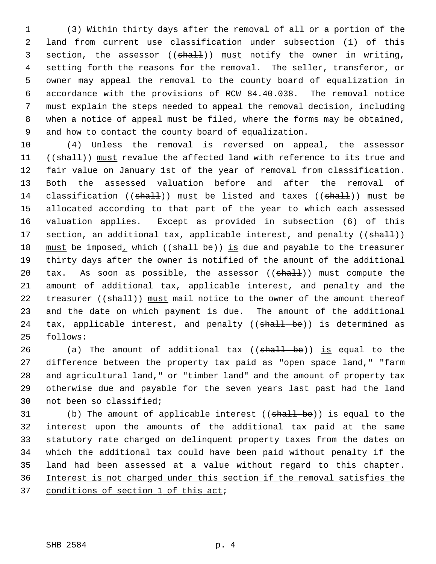1 (3) Within thirty days after the removal of all or a portion of the 2 land from current use classification under subsection (1) of this 3 section, the assessor  $((shall))$  must notify the owner in writing, 4 setting forth the reasons for the removal. The seller, transferor, or 5 owner may appeal the removal to the county board of equalization in 6 accordance with the provisions of RCW 84.40.038. The removal notice 7 must explain the steps needed to appeal the removal decision, including 8 when a notice of appeal must be filed, where the forms may be obtained, 9 and how to contact the county board of equalization.

10 (4) Unless the removal is reversed on appeal, the assessor 11 ((shall)) must revalue the affected land with reference to its true and 12 fair value on January 1st of the year of removal from classification. 13 Both the assessed valuation before and after the removal of 14 classification ((shall)) must be listed and taxes ((shall)) must be 15 allocated according to that part of the year to which each assessed 16 valuation applies. Except as provided in subsection (6) of this 17 section, an additional tax, applicable interest, and penalty ((shall)) 18 must be imposed, which ((shall be)) is due and payable to the treasurer 19 thirty days after the owner is notified of the amount of the additional 20 tax. As soon as possible, the assessor  $((shalt))$  must compute the 21 amount of additional tax, applicable interest, and penalty and the 22 treasurer ((shall)) must mail notice to the owner of the amount thereof 23 and the date on which payment is due. The amount of the additional 24 tax, applicable interest, and penalty (( $\frac{1}{\text{shall}}$  be)) is determined as 25 follows:

26 (a) The amount of additional tax ((shall be)) is equal to the 27 difference between the property tax paid as "open space land," "farm 28 and agricultural land," or "timber land" and the amount of property tax 29 otherwise due and payable for the seven years last past had the land 30 not been so classified;

31 (b) The amount of applicable interest ((shall be)) is equal to the 32 interest upon the amounts of the additional tax paid at the same 33 statutory rate charged on delinquent property taxes from the dates on 34 which the additional tax could have been paid without penalty if the 35 land had been assessed at a value without regard to this chapter. 36 Interest is not charged under this section if the removal satisfies the 37 conditions of section 1 of this act;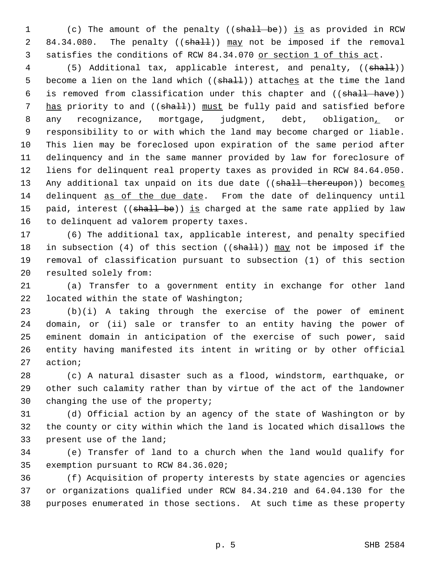1 (c) The amount of the penalty ((shall be)) is as provided in RCW 2 84.34.080. The penalty ((shall)) may not be imposed if the removal 3 satisfies the conditions of RCW 84.34.070 or section 1 of this act.

4 (5) Additional tax, applicable interest, and penalty, ((shall)) 5 become a lien on the land which  $((shath))$  attaches at the time the land 6 is removed from classification under this chapter and ((shall have)) 7 has priority to and ((shall)) must be fully paid and satisfied before 8 any recognizance, mortgage, judgment, debt, obligation<sub>1</sub> or 9 responsibility to or with which the land may become charged or liable. 10 This lien may be foreclosed upon expiration of the same period after 11 delinquency and in the same manner provided by law for foreclosure of 12 liens for delinquent real property taxes as provided in RCW 84.64.050. 13 Any additional tax unpaid on its due date ((shall thereupon)) becomes 14 delinquent as of the due date. From the date of delinquency until 15 paid, interest ((shall be)) is charged at the same rate applied by law 16 to delinquent ad valorem property taxes.

17 (6) The additional tax, applicable interest, and penalty specified 18 in subsection (4) of this section (( $shall$ )) may not be imposed if the 19 removal of classification pursuant to subsection (1) of this section 20 resulted solely from:

21 (a) Transfer to a government entity in exchange for other land 22 located within the state of Washington;

23 (b)(i) A taking through the exercise of the power of eminent 24 domain, or (ii) sale or transfer to an entity having the power of 25 eminent domain in anticipation of the exercise of such power, said 26 entity having manifested its intent in writing or by other official 27 action;

28 (c) A natural disaster such as a flood, windstorm, earthquake, or 29 other such calamity rather than by virtue of the act of the landowner 30 changing the use of the property;

31 (d) Official action by an agency of the state of Washington or by 32 the county or city within which the land is located which disallows the 33 present use of the land;

34 (e) Transfer of land to a church when the land would qualify for 35 exemption pursuant to RCW 84.36.020;

36 (f) Acquisition of property interests by state agencies or agencies 37 or organizations qualified under RCW 84.34.210 and 64.04.130 for the 38 purposes enumerated in those sections. At such time as these property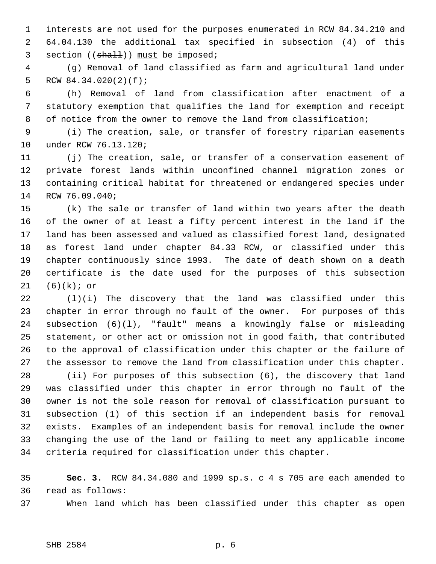1 interests are not used for the purposes enumerated in RCW 84.34.210 and 2 64.04.130 the additional tax specified in subsection (4) of this 3 section  $((shall))$  must be imposed;

 4 (g) Removal of land classified as farm and agricultural land under 5 RCW 84.34.020(2)(f);

 6 (h) Removal of land from classification after enactment of a 7 statutory exemption that qualifies the land for exemption and receipt 8 of notice from the owner to remove the land from classification;

 9 (i) The creation, sale, or transfer of forestry riparian easements 10 under RCW 76.13.120;

11 (j) The creation, sale, or transfer of a conservation easement of 12 private forest lands within unconfined channel migration zones or 13 containing critical habitat for threatened or endangered species under 14 RCW 76.09.040;

15 (k) The sale or transfer of land within two years after the death 16 of the owner of at least a fifty percent interest in the land if the 17 land has been assessed and valued as classified forest land, designated 18 as forest land under chapter 84.33 RCW, or classified under this 19 chapter continuously since 1993. The date of death shown on a death 20 certificate is the date used for the purposes of this subsection 21 (6)(k); or

22 (l)(i) The discovery that the land was classified under this 23 chapter in error through no fault of the owner. For purposes of this 24 subsection (6)(l), "fault" means a knowingly false or misleading 25 statement, or other act or omission not in good faith, that contributed 26 to the approval of classification under this chapter or the failure of 27 the assessor to remove the land from classification under this chapter.

28 (ii) For purposes of this subsection (6), the discovery that land 29 was classified under this chapter in error through no fault of the 30 owner is not the sole reason for removal of classification pursuant to 31 subsection (1) of this section if an independent basis for removal 32 exists. Examples of an independent basis for removal include the owner 33 changing the use of the land or failing to meet any applicable income 34 criteria required for classification under this chapter.

35 **Sec. 3.** RCW 84.34.080 and 1999 sp.s. c 4 s 705 are each amended to 36 read as follows:

37 When land which has been classified under this chapter as open